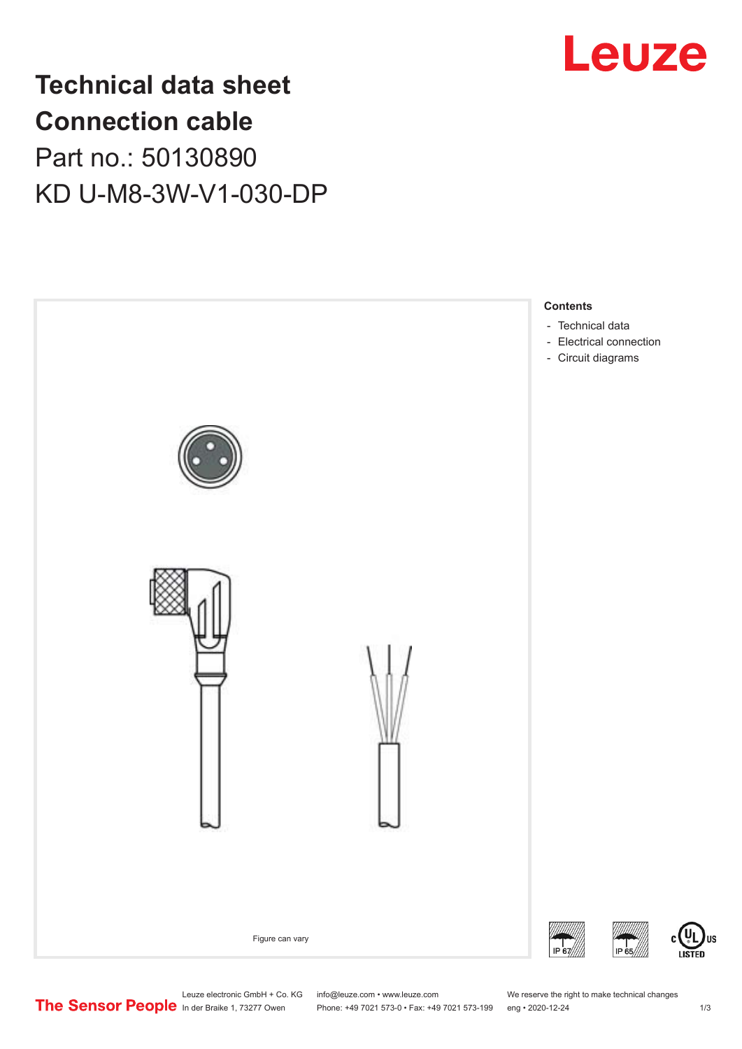

## **Technical data sheet Connection cable** Part no.: 50130890 KD U-M8-3W-V1-030-DP



Leuze electronic GmbH + Co. KG info@leuze.com • www.leuze.com We reserve the right to make technical changes<br>
The Sensor People in der Braike 1, 73277 Owen Phone: +49 7021 573-0 • Fax: +49 7021 573-199 eng • 2020-12-24

Phone: +49 7021 573-0 • Fax: +49 7021 573-199 eng • 2020-12-24 1 2020-12-24

US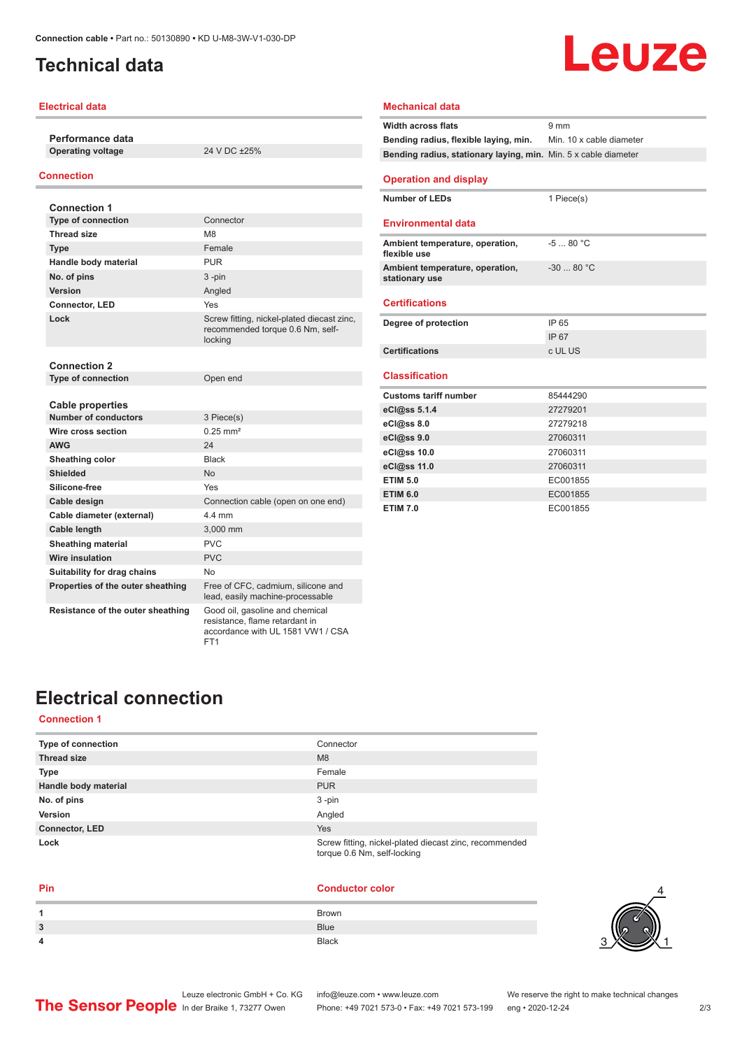## <span id="page-1-0"></span>**Technical data**

#### **Electrical data**

**Performance data Operating voltage** 24 V DC ±25%

#### **Connection**

| <b>Connection 1</b>               |                                                                                           |
|-----------------------------------|-------------------------------------------------------------------------------------------|
| <b>Type of connection</b>         | Connector                                                                                 |
| <b>Thread size</b>                | M <sub>8</sub>                                                                            |
| <b>Type</b>                       | Female                                                                                    |
| Handle body material              | <b>PUR</b>                                                                                |
| No. of pins                       | $3 - pin$                                                                                 |
| Version                           | Angled                                                                                    |
| Connector, LED                    | Yes                                                                                       |
| Lock                              | Screw fitting, nickel-plated diecast zinc,<br>recommended torque 0.6 Nm, self-<br>locking |
| <b>Connection 2</b>               |                                                                                           |
| <b>Type of connection</b>         | Open end                                                                                  |
| <b>Cable properties</b>           |                                                                                           |
| Number of conductors              | 3 Piece(s)                                                                                |
| Wire cross section                | $0.25$ mm <sup>2</sup>                                                                    |
| <b>AWG</b>                        | 24                                                                                        |
| Sheathing color                   | <b>Black</b>                                                                              |
| <b>Shielded</b>                   | <b>No</b>                                                                                 |
| Silicone-free                     | Yes                                                                                       |
| Cable design                      | Connection cable (open on one end)                                                        |
| Cable diameter (external)         | 44 mm                                                                                     |
| Cable length                      | 3,000 mm                                                                                  |
| <b>Sheathing material</b>         | PVC                                                                                       |
| Wire insulation                   | PVC                                                                                       |
| Suitability for drag chains       | No                                                                                        |
| Properties of the outer sheathing | Free of CFC, cadmium, silicone and<br>lead, easily machine-processable                    |
| Resistance of the outer sheathing | Good oil, gasoline and chemical<br>resistance, flame retardant in                         |

FT1

#### **Width across flats** 9 mm **Bending radius, flexible laying, min.** Min. 10 x cable diameter **Bending radius, stationary laying, min.** Min. 5 x cable diameter **Operation and display Number of LEDs** 1 Piece(s) **Environmental data Ambient temperature, operation, flexible use** -5 ... 80 °C **Ambient temperature, operation, stationary use** -30 ... 80 °C **Certifications Degree of protection** IP 65 IP 67 **Certifications** c UL US **Classification Customs tariff number** 85444290 **eCl@ss 5.1.4** 27279201 **eCl@ss 8.0** 27279218 **eCl@ss 9.0** 27060311 **eCl@ss 10.0** 27060311 **eCl@ss 11.0** 27060311 **ETIM 5.0** EC001855 **ETIM 6.0** EC001855 **ETIM 7.0** EC001855

**Mechanical data**

## **Electrical connection**

#### **Connection 1**

| Type of connection    | Connector                                                                             |
|-----------------------|---------------------------------------------------------------------------------------|
| <b>Thread size</b>    | M8                                                                                    |
| <b>Type</b>           | Female                                                                                |
| Handle body material  | <b>PUR</b>                                                                            |
| No. of pins           | $3 - pin$                                                                             |
| Version               | Angled                                                                                |
| <b>Connector, LED</b> | Yes                                                                                   |
| Lock                  | Screw fitting, nickel-plated diecast zinc, recommended<br>torque 0.6 Nm, self-locking |

accordance with UL 1581 VW1 / CSA

| Pin | <b>Conductor color</b> |
|-----|------------------------|
|     | <b>Brown</b>           |
| 3   | <b>Blue</b>            |
| 4   | <b>Black</b>           |



# Leuze